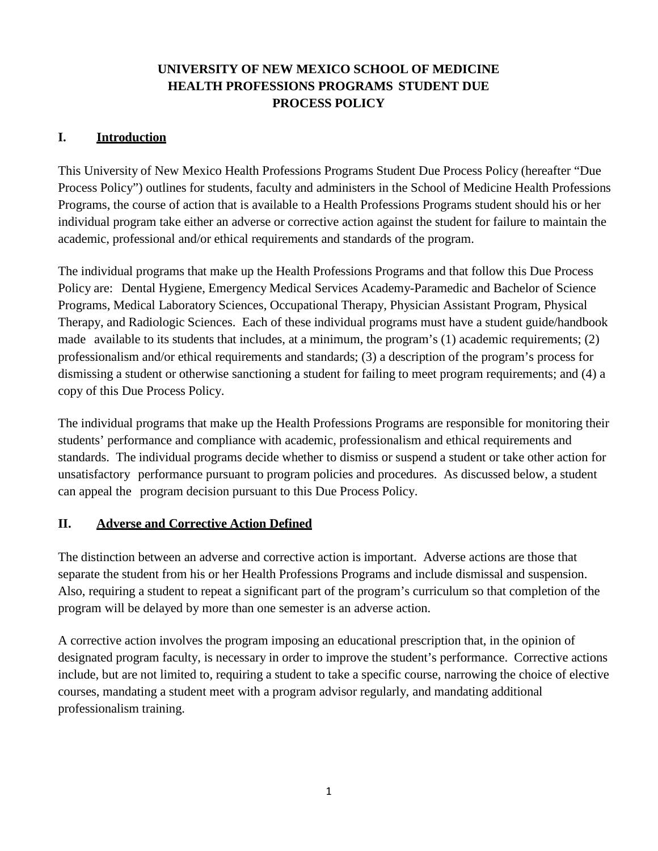# **UNIVERSITY OF NEW MEXICO SCHOOL OF MEDICINE HEALTH PROFESSIONS PROGRAMS STUDENT DUE PROCESS POLICY**

#### **I. Introduction**

This University of New Mexico Health Professions Programs Student Due Process Policy (hereafter "Due Process Policy") outlines for students, faculty and administers in the School of Medicine Health Professions Programs, the course of action that is available to a Health Professions Programs student should his or her individual program take either an adverse or corrective action against the student for failure to maintain the academic, professional and/or ethical requirements and standards of the program.

The individual programs that make up the Health Professions Programs and that follow this Due Process Policy are: Dental Hygiene, Emergency Medical Services Academy-Paramedic and Bachelor of Science Programs, Medical Laboratory Sciences, Occupational Therapy, Physician Assistant Program, Physical Therapy, and Radiologic Sciences. Each of these individual programs must have a student guide/handbook made available to its students that includes, at a minimum, the program's (1) academic requirements; (2) professionalism and/or ethical requirements and standards; (3) a description of the program's process for dismissing a student or otherwise sanctioning a student for failing to meet program requirements; and (4) a copy of this Due Process Policy.

The individual programs that make up the Health Professions Programs are responsible for monitoring their students' performance and compliance with academic, professionalism and ethical requirements and standards. The individual programs decide whether to dismiss or suspend a student or take other action for unsatisfactory performance pursuant to program policies and procedures. As discussed below, a student can appeal the program decision pursuant to this Due Process Policy.

#### **II. Adverse and Corrective Action Defined**

The distinction between an adverse and corrective action is important. Adverse actions are those that separate the student from his or her Health Professions Programs and include dismissal and suspension. Also, requiring a student to repeat a significant part of the program's curriculum so that completion of the program will be delayed by more than one semester is an adverse action.

A corrective action involves the program imposing an educational prescription that, in the opinion of designated program faculty, is necessary in order to improve the student's performance. Corrective actions include, but are not limited to, requiring a student to take a specific course, narrowing the choice of elective courses, mandating a student meet with a program advisor regularly, and mandating additional professionalism training.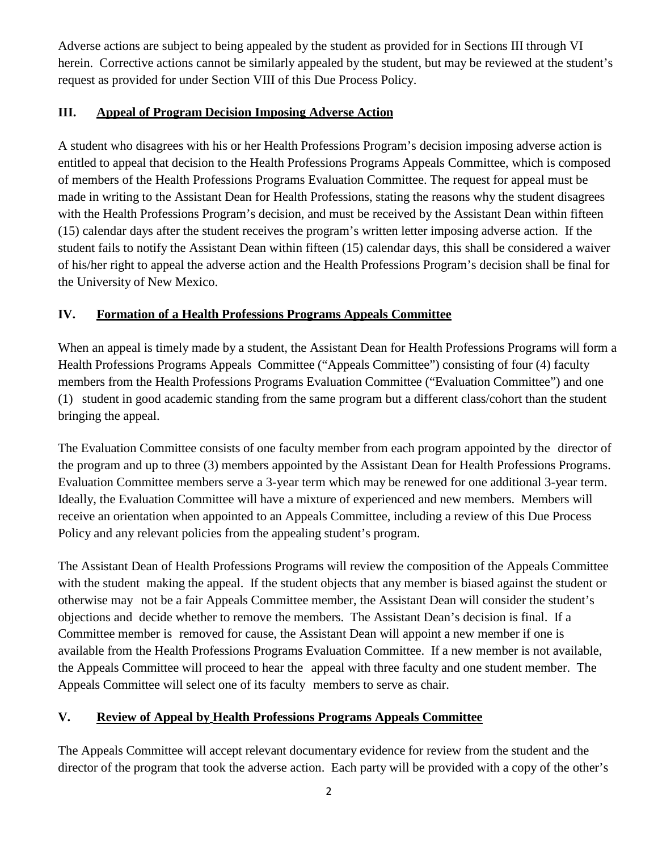Adverse actions are subject to being appealed by the student as provided for in Sections III through VI herein. Corrective actions cannot be similarly appealed by the student, but may be reviewed at the student's request as provided for under Section VIII of this Due Process Policy.

### **III. Appeal of Program Decision Imposing Adverse Action**

A student who disagrees with his or her Health Professions Program's decision imposing adverse action is entitled to appeal that decision to the Health Professions Programs Appeals Committee, which is composed of members of the Health Professions Programs Evaluation Committee. The request for appeal must be made in writing to the Assistant Dean for Health Professions, stating the reasons why the student disagrees with the Health Professions Program's decision, and must be received by the Assistant Dean within fifteen (15) calendar days after the student receives the program's written letter imposing adverse action. If the student fails to notify the Assistant Dean within fifteen (15) calendar days, this shall be considered a waiver of his/her right to appeal the adverse action and the Health Professions Program's decision shall be final for the University of New Mexico.

## **IV. Formation of a Health Professions Programs Appeals Committee**

When an appeal is timely made by a student, the Assistant Dean for Health Professions Programs will form a Health Professions Programs Appeals Committee ("Appeals Committee") consisting of four (4) faculty members from the Health Professions Programs Evaluation Committee ("Evaluation Committee") and one (1) student in good academic standing from the same program but a different class/cohort than the student bringing the appeal.

The Evaluation Committee consists of one faculty member from each program appointed by the director of the program and up to three (3) members appointed by the Assistant Dean for Health Professions Programs. Evaluation Committee members serve a 3-year term which may be renewed for one additional 3-year term. Ideally, the Evaluation Committee will have a mixture of experienced and new members. Members will receive an orientation when appointed to an Appeals Committee, including a review of this Due Process Policy and any relevant policies from the appealing student's program.

The Assistant Dean of Health Professions Programs will review the composition of the Appeals Committee with the student making the appeal. If the student objects that any member is biased against the student or otherwise may not be a fair Appeals Committee member, the Assistant Dean will consider the student's objections and decide whether to remove the members. The Assistant Dean's decision is final. If a Committee member is removed for cause, the Assistant Dean will appoint a new member if one is available from the Health Professions Programs Evaluation Committee. If a new member is not available, the Appeals Committee will proceed to hear the appeal with three faculty and one student member. The Appeals Committee will select one of its faculty members to serve as chair.

## **V. Review of Appeal by Health Professions Programs Appeals Committee**

The Appeals Committee will accept relevant documentary evidence for review from the student and the director of the program that took the adverse action. Each party will be provided with a copy of the other's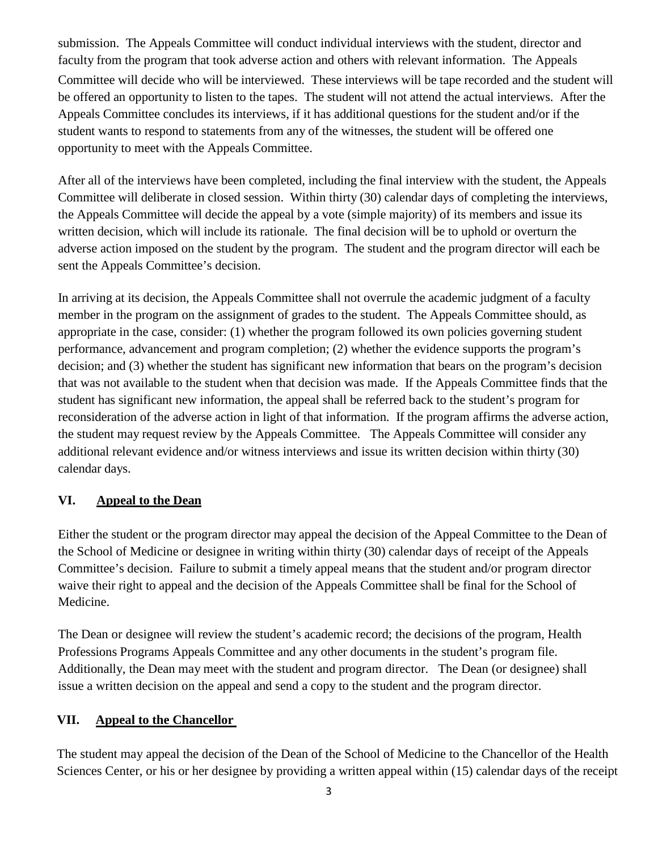submission. The Appeals Committee will conduct individual interviews with the student, director and faculty from the program that took adverse action and others with relevant information. The Appeals Committee will decide who will be interviewed. These interviews will be tape recorded and the student will be offered an opportunity to listen to the tapes. The student will not attend the actual interviews. After the Appeals Committee concludes its interviews, if it has additional questions for the student and/or if the student wants to respond to statements from any of the witnesses, the student will be offered one opportunity to meet with the Appeals Committee.

After all of the interviews have been completed, including the final interview with the student, the Appeals Committee will deliberate in closed session. Within thirty (30) calendar days of completing the interviews, the Appeals Committee will decide the appeal by a vote (simple majority) of its members and issue its written decision, which will include its rationale. The final decision will be to uphold or overturn the adverse action imposed on the student by the program. The student and the program director will each be sent the Appeals Committee's decision.

In arriving at its decision, the Appeals Committee shall not overrule the academic judgment of a faculty member in the program on the assignment of grades to the student. The Appeals Committee should, as appropriate in the case, consider: (1) whether the program followed its own policies governing student performance, advancement and program completion; (2) whether the evidence supports the program's decision; and (3) whether the student has significant new information that bears on the program's decision that was not available to the student when that decision was made. If the Appeals Committee finds that the student has significant new information, the appeal shall be referred back to the student's program for reconsideration of the adverse action in light of that information. If the program affirms the adverse action, the student may request review by the Appeals Committee. The Appeals Committee will consider any additional relevant evidence and/or witness interviews and issue its written decision within thirty (30) calendar days.

#### **VI. Appeal to the Dean**

Either the student or the program director may appeal the decision of the Appeal Committee to the Dean of the School of Medicine or designee in writing within thirty (30) calendar days of receipt of the Appeals Committee's decision. Failure to submit a timely appeal means that the student and/or program director waive their right to appeal and the decision of the Appeals Committee shall be final for the School of Medicine.

The Dean or designee will review the student's academic record; the decisions of the program, Health Professions Programs Appeals Committee and any other documents in the student's program file. Additionally, the Dean may meet with the student and program director. The Dean (or designee) shall issue a written decision on the appeal and send a copy to the student and the program director.

#### **VII. Appeal to the Chancellor**

The student may appeal the decision of the Dean of the School of Medicine to the Chancellor of the Health Sciences Center, or his or her designee by providing a written appeal within (15) calendar days of the receipt